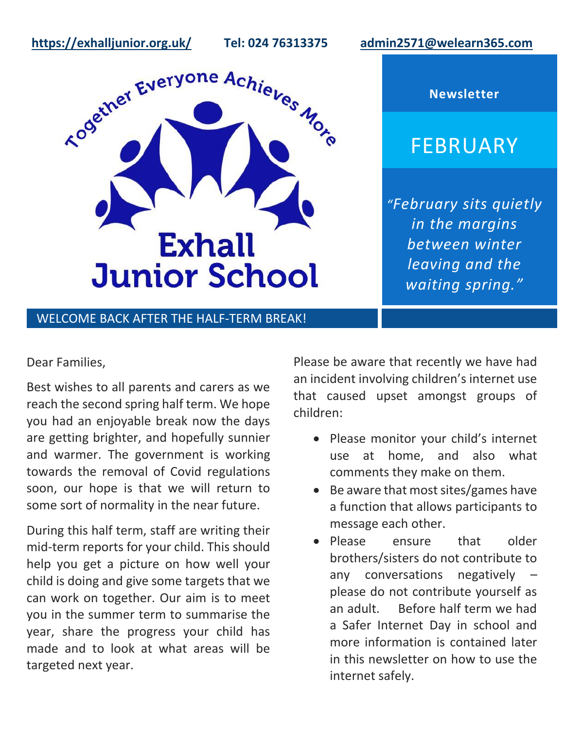**<https://exhalljunior.org.uk/>Tel: 024 76313375 [admin2571@welearn365.com](mailto:admin2571@welearn365.com)**

**Newsletter**

FEBRUARY



*"February sits quietly in the margins between winter leaving and the waiting spring."*

## WELCOME BACK AFTER THE HALF-TERM BREAK!

#### Dear Families,

Best wishes to all parents and carers as we reach the second spring half term. We hope you had an enjoyable break now the days are getting brighter, and hopefully sunnier and warmer. The government is working towards the removal of Covid regulations soon, our hope is that we will return to some sort of normality in the near future.

During this half term, staff are writing their mid-term reports for your child. This should help you get a picture on how well your child is doing and give some targets that we can work on together. Our aim is to meet you in the summer term to summarise the year, share the progress your child has made and to look at what areas will be targeted next year.

Please be aware that recently we have had an incident involving children's internet use that caused upset amongst groups of children:

- Please monitor your child's internet use at home, and also what comments they make on them.
- Be aware that most sites/games have a function that allows participants to message each other.
- Please ensure that older brothers/sisters do not contribute to any conversations negatively – please do not contribute yourself as an adult. Before half term we had a Safer Internet Day in school and more information is contained later in this newsletter on how to use the internet safely.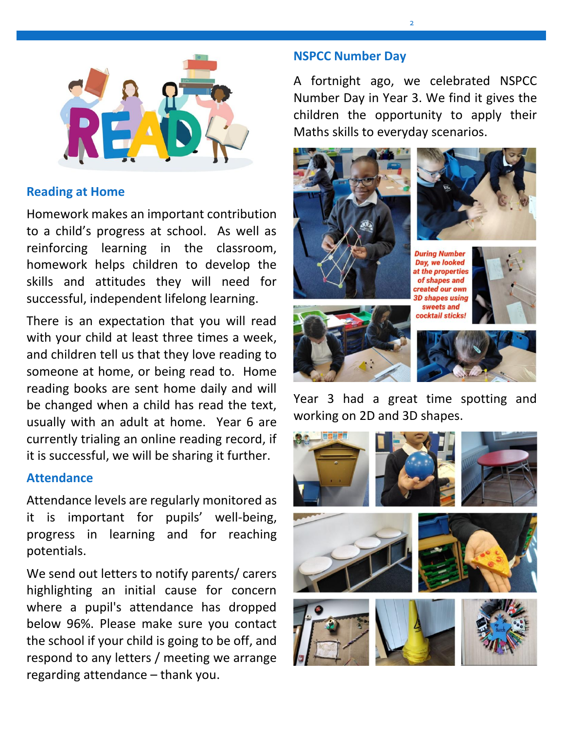

## **Reading at Home**

Homework makes an important contribution to a child's progress at school. As well as reinforcing learning in the classroom, homework helps children to develop the skills and attitudes they will need for successful, independent lifelong learning.

There is an expectation that you will read with your child at least three times a week, and children tell us that they love reading to someone at home, or being read to. Home reading books are sent home daily and will be changed when a child has read the text, usually with an adult at home. Year 6 are currently trialing an online reading record, if it is successful, we will be sharing it further.

### **Attendance**

Attendance levels are regularly monitored as it is important for pupils' well-being, progress in learning and for reaching potentials.

We send out letters to notify parents/ carers highlighting an initial cause for concern where a pupil's attendance has dropped below 96%. Please make sure you contact the school if your child is going to be off, and respond to any letters / meeting we arrange regarding attendance – thank you.

## **NSPCC Number Day**

A fortnight ago, we celebrated NSPCC Number Day in Year 3. We find it gives the children the opportunity to apply their Maths skills to everyday scenarios.



Year 3 had a great time spotting and working on 2D and 3D shapes.

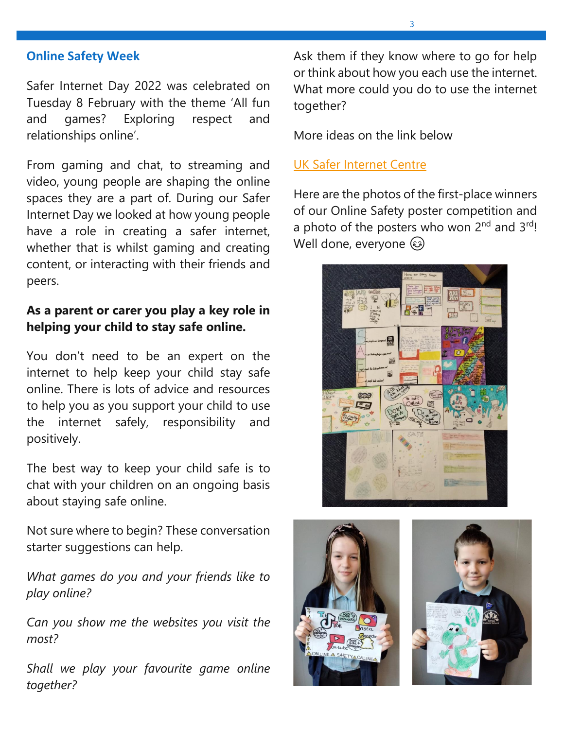### **Online Safety Week**

Safer Internet Day 2022 was celebrated on Tuesday 8 February with the theme 'All fun and games? Exploring respect and relationships online'.

From gaming and chat, to streaming and video, young people are shaping the online spaces they are a part of. During our Safer Internet Day we looked at how young people have a role in creating a safer internet, whether that is whilst gaming and creating content, or interacting with their friends and peers.

## **As a parent or carer you play a key role in helping your child to stay safe online.**

You don't need to be an expert on the internet to help keep your child stay safe online. There is lots of advice and resources to help you as you support your child to use the internet safely, responsibility and positively.

The best way to keep your child safe is to chat with your children on an ongoing basis about staying safe online.

Not sure where to begin? These conversation starter suggestions can help.

*What games do you and your friends like to play online?* 

*Can you show me the websites you visit the most?* 

*Shall we play your favourite game online together?*

Ask them if they know where to go for help or think about how you each use the internet. What more could you do to use the internet together?

More ideas on the link below

#### [UK Safer Internet Centre](https://saferinternet.org.uk/guide-and-resource/parents-and-carers)

Here are the photos of the first-place winners of our Online Safety poster competition and a photo of the posters who won 2<sup>nd</sup> and 3<sup>rd</sup>! Well done, everyone  $\circledast$ 





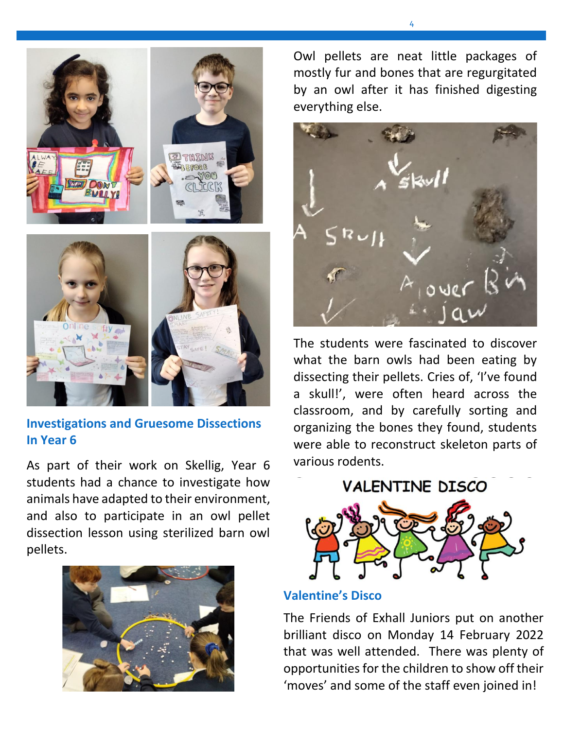

## **Investigations and Gruesome Dissections In Year 6**

As part of their work on Skellig, Year 6 students had a chance to investigate how animals have adapted to their environment, and also to participate in an owl pellet dissection lesson using sterilized barn owl pellets.



Owl pellets are neat little packages of mostly fur and bones that are regurgitated by an owl after it has finished digesting everything else.



The students were fascinated to discover what the barn owls had been eating by dissecting their pellets. Cries of, 'I've found a skull!', were often heard across the classroom, and by carefully sorting and organizing the bones they found, students were able to reconstruct skeleton parts of various rodents.

**VALENTINE DISCO** 

## **Valentine's Disco**

The Friends of Exhall Juniors put on another brilliant disco on Monday 14 February 2022 that was well attended. There was plenty of opportunities for the children to show off their 'moves' and some of the staff even joined in!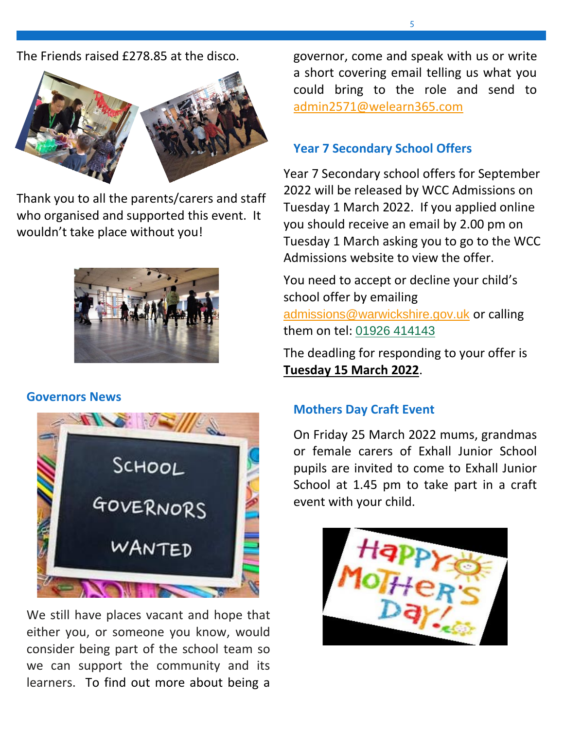The Friends raised £278.85 at the disco.



Thank you to all the parents/carers and staff who organised and supported this event. It wouldn't take place without you!



### **Governors News**



We still have places vacant and hope that either you, or someone you know, would consider being part of the school team so we can support the community and its learners. To find out more about being a

governor, come and speak with us or write a short covering email telling us what you could bring to the role and send to [admin2571@welearn365.com](mailto:admin2571@welearn365.com)

# **Year 7 Secondary School Offers**

Year 7 Secondary school offers for September 2022 will be released by WCC Admissions on Tuesday 1 March 2022. If you applied online you should receive an email by 2.00 pm on Tuesday 1 March asking you to go to the WCC Admissions website to view the offer.

You need to accept or decline your child's school offer by emailing [admissions@warwickshire.gov.uk](mailto:admissions@warwickshire.gov.uk) or calling them on tel: [01926 414143](tel:01926414143)

The deadling for responding to your offer is **Tuesday 15 March 2022**.

# **Mothers Day Craft Event**

On Friday 25 March 2022 mums, grandmas or female carers of Exhall Junior School pupils are invited to come to Exhall Junior School at 1.45 pm to take part in a craft event with your child.